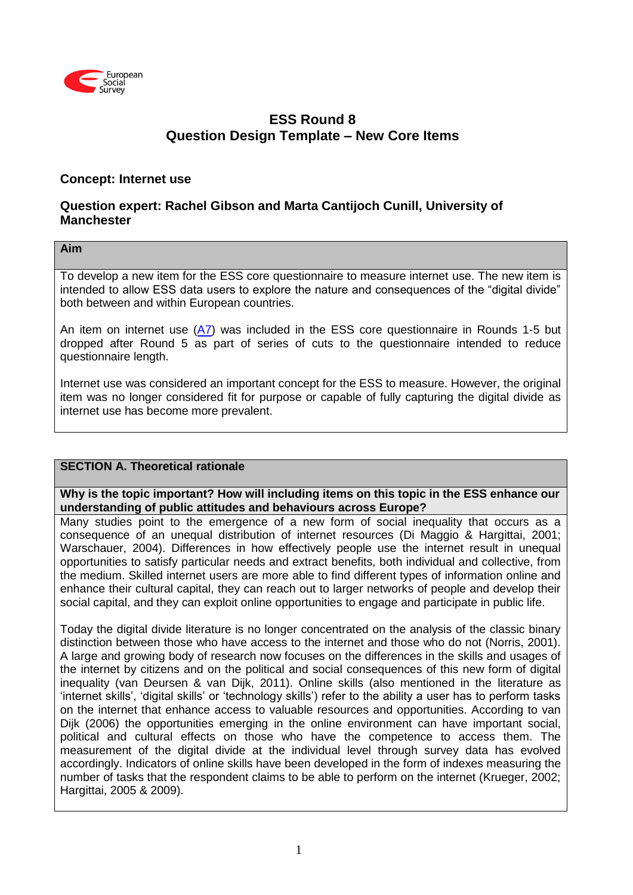

# **ESS Round 8 Question Design Template – New Core Items**

## **Concept: Internet use**

## **Question expert: Rachel Gibson and Marta Cantijoch Cunill, University of Manchester**

### **Aim**

To develop a new item for the ESS core questionnaire to measure internet use. The new item is intended to allow ESS data users to explore the nature and consequences of the "digital divide" both between and within European countries.

An item on internet use  $(A7)$  was included in the ESS core questionnaire in Rounds 1-5 but dropped after Round 5 as part of series of cuts to the questionnaire intended to reduce questionnaire length.

Internet use was considered an important concept for the ESS to measure. However, the original item was no longer considered fit for purpose or capable of fully capturing the digital divide as internet use has become more prevalent.

## **SECTION A. Theoretical rationale**

**Why is the topic important? How will including items on this topic in the ESS enhance our understanding of public attitudes and behaviours across Europe?**

Many studies point to the emergence of a new form of social inequality that occurs as a consequence of an unequal distribution of internet resources (Di Maggio & Hargittai, 2001; Warschauer, 2004). Differences in how effectively people use the internet result in unequal opportunities to satisfy particular needs and extract benefits, both individual and collective, from the medium. Skilled internet users are more able to find different types of information online and enhance their cultural capital, they can reach out to larger networks of people and develop their social capital, and they can exploit online opportunities to engage and participate in public life.

Today the digital divide literature is no longer concentrated on the analysis of the classic binary distinction between those who have access to the internet and those who do not (Norris, 2001). A large and growing body of research now focuses on the differences in the skills and usages of the internet by citizens and on the political and social consequences of this new form of digital inequality (van Deursen & van Dijk, 2011). Online skills (also mentioned in the literature as 'internet skills', 'digital skills' or 'technology skills') refer to the ability a user has to perform tasks on the internet that enhance access to valuable resources and opportunities. According to van Dijk (2006) the opportunities emerging in the online environment can have important social, political and cultural effects on those who have the competence to access them. The measurement of the digital divide at the individual level through survey data has evolved accordingly. Indicators of online skills have been developed in the form of indexes measuring the number of tasks that the respondent claims to be able to perform on the internet (Krueger, 2002; Hargittai, 2005 & 2009).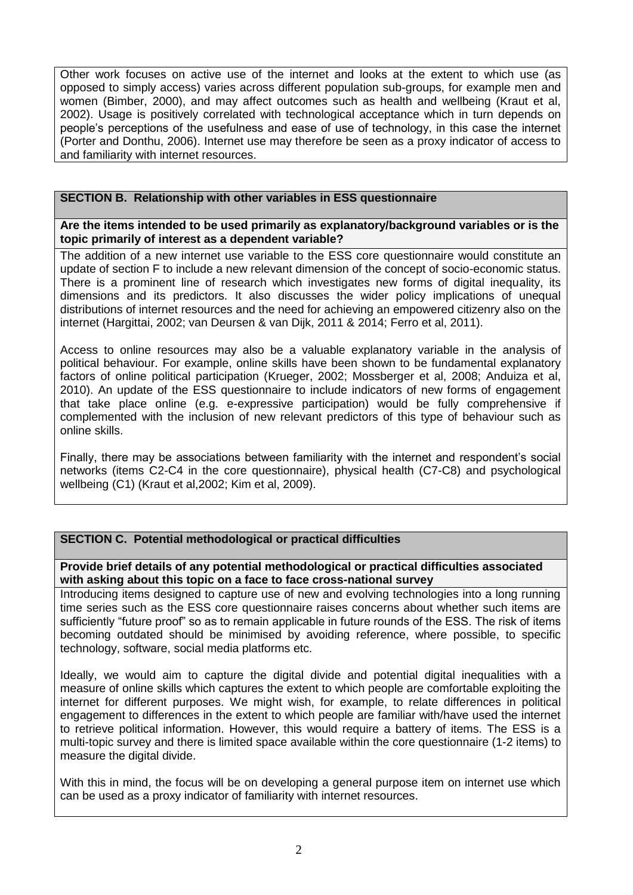Other work focuses on active use of the internet and looks at the extent to which use (as opposed to simply access) varies across different population sub-groups, for example men and women (Bimber, 2000), and may affect outcomes such as health and wellbeing (Kraut et al, 2002). Usage is positively correlated with technological acceptance which in turn depends on people's perceptions of the usefulness and ease of use of technology, in this case the internet (Porter and Donthu, 2006). Internet use may therefore be seen as a proxy indicator of access to and familiarity with internet resources.

## **SECTION B. Relationship with other variables in ESS questionnaire**

**Are the items intended to be used primarily as explanatory/background variables or is the topic primarily of interest as a dependent variable?**

The addition of a new internet use variable to the ESS core questionnaire would constitute an update of section F to include a new relevant dimension of the concept of socio-economic status. There is a prominent line of research which investigates new forms of digital inequality, its dimensions and its predictors. It also discusses the wider policy implications of unequal distributions of internet resources and the need for achieving an empowered citizenry also on the internet (Hargittai, 2002; van Deursen & van Dijk, 2011 & 2014; Ferro et al, 2011).

Access to online resources may also be a valuable explanatory variable in the analysis of political behaviour. For example, online skills have been shown to be fundamental explanatory factors of online political participation (Krueger, 2002; Mossberger et al, 2008; Anduiza et al, 2010). An update of the ESS questionnaire to include indicators of new forms of engagement that take place online (e.g. e-expressive participation) would be fully comprehensive if complemented with the inclusion of new relevant predictors of this type of behaviour such as online skills.

Finally, there may be associations between familiarity with the internet and respondent's social networks (items C2-C4 in the core questionnaire), physical health (C7-C8) and psychological wellbeing (C1) (Kraut et al,2002; Kim et al, 2009).

## **SECTION C. Potential methodological or practical difficulties**

**Provide brief details of any potential methodological or practical difficulties associated with asking about this topic on a face to face cross-national survey**

Introducing items designed to capture use of new and evolving technologies into a long running time series such as the ESS core questionnaire raises concerns about whether such items are sufficiently "future proof" so as to remain applicable in future rounds of the ESS. The risk of items becoming outdated should be minimised by avoiding reference, where possible, to specific technology, software, social media platforms etc.

Ideally, we would aim to capture the digital divide and potential digital inequalities with a measure of online skills which captures the extent to which people are comfortable exploiting the internet for different purposes. We might wish, for example, to relate differences in political engagement to differences in the extent to which people are familiar with/have used the internet to retrieve political information. However, this would require a battery of items. The ESS is a multi-topic survey and there is limited space available within the core questionnaire (1-2 items) to measure the digital divide.

With this in mind, the focus will be on developing a general purpose item on internet use which can be used as a proxy indicator of familiarity with internet resources.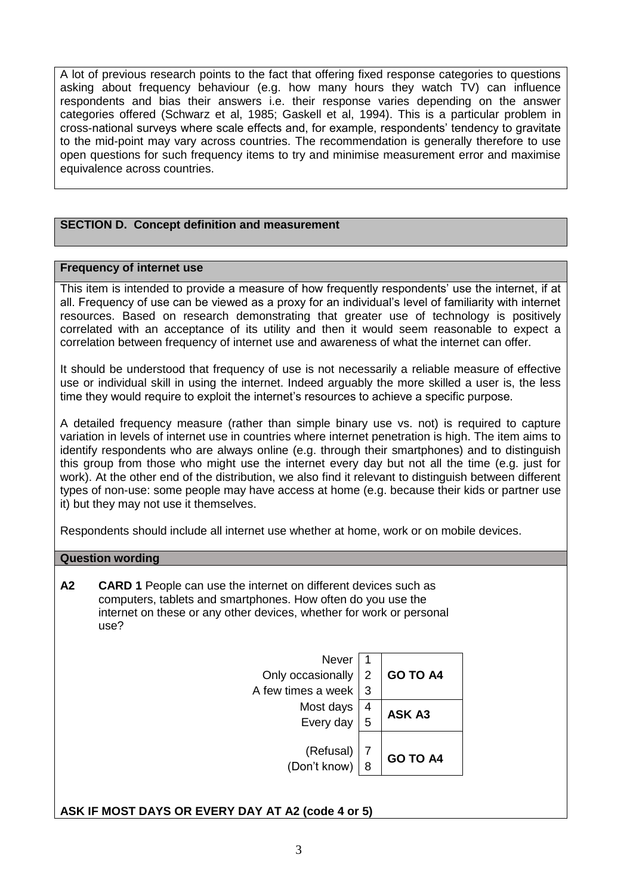A lot of previous research points to the fact that offering fixed response categories to questions asking about frequency behaviour (e.g. how many hours they watch TV) can influence respondents and bias their answers i.e. their response varies depending on the answer categories offered (Schwarz et al, 1985; Gaskell et al, 1994). This is a particular problem in cross-national surveys where scale effects and, for example, respondents' tendency to gravitate to the mid-point may vary across countries. The recommendation is generally therefore to use open questions for such frequency items to try and minimise measurement error and maximise equivalence across countries.

## **SECTION D. Concept definition and measurement**

#### **Frequency of internet use**

This item is intended to provide a measure of how frequently respondents' use the internet, if at all. Frequency of use can be viewed as a proxy for an individual's level of familiarity with internet resources. Based on research demonstrating that greater use of technology is positively correlated with an acceptance of its utility and then it would seem reasonable to expect a correlation between frequency of internet use and awareness of what the internet can offer.

It should be understood that frequency of use is not necessarily a reliable measure of effective use or individual skill in using the internet. Indeed arguably the more skilled a user is, the less time they would require to exploit the internet's resources to achieve a specific purpose.

A detailed frequency measure (rather than simple binary use vs. not) is required to capture variation in levels of internet use in countries where internet penetration is high. The item aims to identify respondents who are always online (e.g. through their smartphones) and to distinguish this group from those who might use the internet every day but not all the time (e.g. just for work). At the other end of the distribution, we also find it relevant to distinguish between different types of non-use: some people may have access at home (e.g. because their kids or partner use it) but they may not use it themselves.

Respondents should include all internet use whether at home, work or on mobile devices.

#### **Question wording**

**A2 CARD 1** People can use the internet on different devices such as computers, tablets and smartphones. How often do you use the internet on these or any other devices, whether for work or personal use?



## **ASK IF MOST DAYS OR EVERY DAY AT A2 (code 4 or 5)**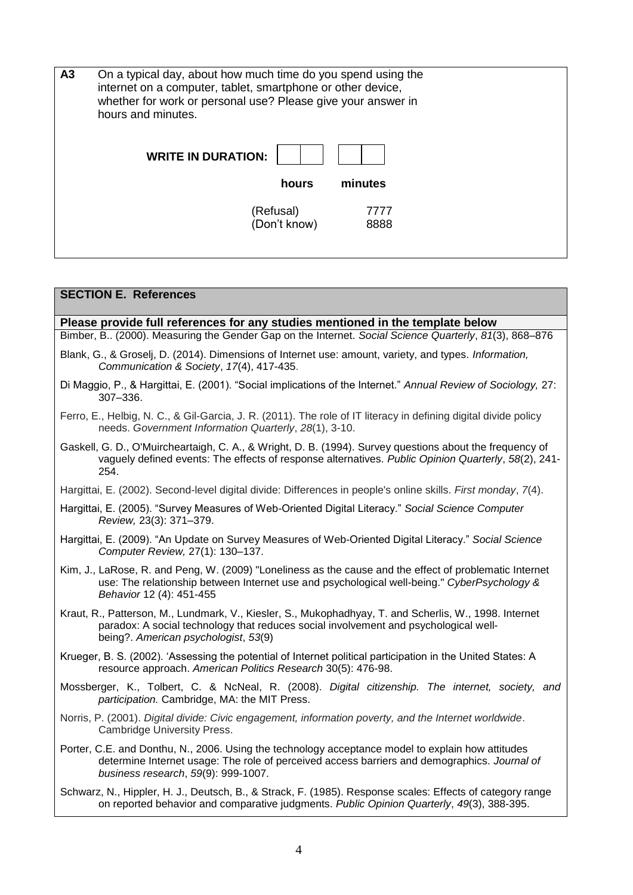| A3 | On a typical day, about how much time do you spend using the<br>internet on a computer, tablet, smartphone or other device,<br>whether for work or personal use? Please give your answer in<br>hours and minutes. |  |
|----|-------------------------------------------------------------------------------------------------------------------------------------------------------------------------------------------------------------------|--|
|    | <b>WRITE IN DURATION:</b><br>minutes<br>hours                                                                                                                                                                     |  |
|    | (Refusal)<br>7777<br>(Don't know)<br>8888                                                                                                                                                                         |  |

# **SECTION E. References Please provide full references for any studies mentioned in the template below** Bimber, B.. (2000). Measuring the Gender Gap on the Internet. *Social Science Quarterly*, *81*(3), 868–876 Blank, G., & Groselj, D. (2014). Dimensions of Internet use: amount, variety, and types. *Information, Communication & Society*, *17*(4), 417-435. Di Maggio, P., & Hargittai, E. (2001). "Social implications of the Internet." *Annual Review of Sociology,* 27: 307–336. Ferro, E., Helbig, N. C., & Gil-Garcia, J. R. (2011). The role of IT literacy in defining digital divide policy needs. *Government Information Quarterly*, *28*(1), 3-10. Gaskell, G. D., O'Muircheartaigh, C. A., & Wright, D. B. (1994). Survey questions about the frequency of vaguely defined events: The effects of response alternatives. *Public Opinion Quarterly*, *58*(2), 241- 254. Hargittai, E. (2002). Second-level digital divide: Differences in people's online skills. *First monday*, *7*(4). Hargittai, E. (2005). "Survey Measures of Web-Oriented Digital Literacy." *Social Science Computer Review,* 23(3): 371–379. Hargittai, E. (2009). "An Update on Survey Measures of Web-Oriented Digital Literacy." *Social Science Computer Review,* 27(1): 130–137. Kim, J., LaRose, R. and Peng, W. (2009) "Loneliness as the cause and the effect of problematic Internet use: The relationship between Internet use and psychological well-being." *CyberPsychology & Behavior* 12 (4): 451-455 Kraut, R., Patterson, M., Lundmark, V., Kiesler, S., Mukophadhyay, T. and Scherlis, W., 1998. Internet paradox: A social technology that reduces social involvement and psychological wellbeing?. *American psychologist*, *53*(9) Krueger, B. S. (2002). 'Assessing the potential of Internet political participation in the United States: A resource approach. *American Politics Research* 30(5): 476-98. Mossberger, K., Tolbert, C. & NcNeal, R. (2008). *Digital citizenship. The internet, society, and participation.* Cambridge, MA: the MIT Press. Norris, P. (2001). *Digital divide: Civic engagement, information poverty, and the Internet worldwide*. Cambridge University Press. Porter, C.E. and Donthu, N., 2006. Using the technology acceptance model to explain how attitudes determine Internet usage: The role of perceived access barriers and demographics. *Journal of business research*, *59*(9): 999-1007. Schwarz, N., Hippler, H. J., Deutsch, B., & Strack, F. (1985). Response scales: Effects of category range on reported behavior and comparative judgments. *Public Opinion Quarterly*, *49*(3), 388-395.